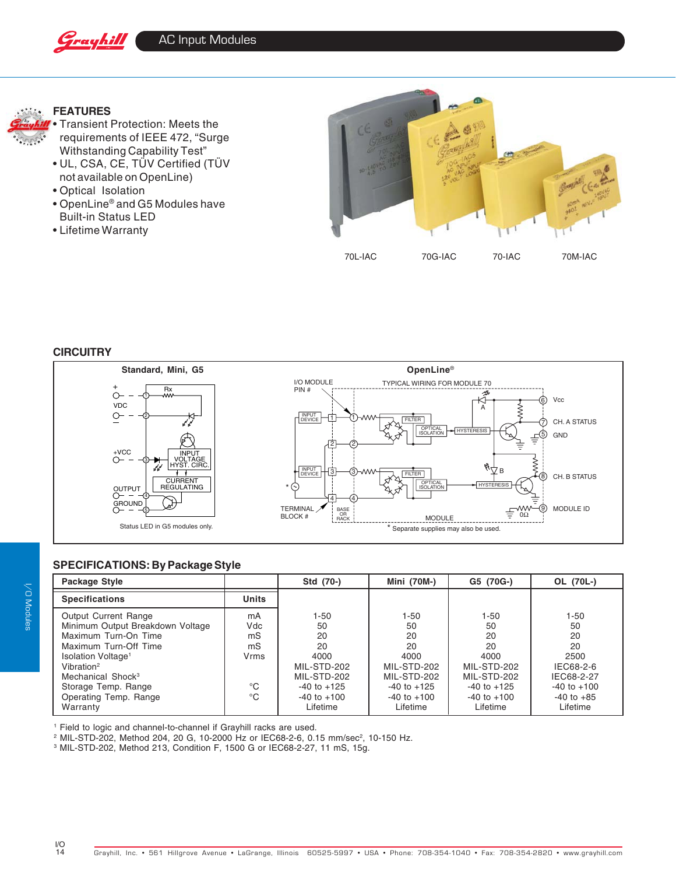



## **FEATURES**



- UL, CSA, CE, TÜV Certified (TÜV not available on OpenLine)
- Optical Isolation
- OpenLine® and G5 Modules have Built-in Status LED
- Lifetime Warranty



## **CIRCUITRY**



## **SPECIFICATIONS: By Package Style**

| Package Style                                                                                                                                                                                                                                                                                                                     | Std (70-)                                                                                                      | Mini (70M-)                                                                                                        | G5 (70G-)                                                                                                      | OL (70L-)                                                                                                      |
|-----------------------------------------------------------------------------------------------------------------------------------------------------------------------------------------------------------------------------------------------------------------------------------------------------------------------------------|----------------------------------------------------------------------------------------------------------------|--------------------------------------------------------------------------------------------------------------------|----------------------------------------------------------------------------------------------------------------|----------------------------------------------------------------------------------------------------------------|
| <b>Units</b><br><b>Specifications</b>                                                                                                                                                                                                                                                                                             |                                                                                                                |                                                                                                                    |                                                                                                                |                                                                                                                |
| Output Current Range<br>mA<br>Minimum Output Breakdown Voltage<br>Vdc<br>Maximum Turn-On Time<br>mS<br>Maximum Turn-Off Time<br>mS<br>Isolation Voltage <sup>1</sup><br>Vrms<br>Vibration <sup>2</sup><br>Mechanical Shock <sup>3</sup><br>$^{\circ}C$<br>Storage Temp. Range<br>$^{\circ}C$<br>Operating Temp. Range<br>Warranty | 1-50<br>50<br>20<br>20<br>4000<br>MIL-STD-202<br>MIL-STD-202<br>$-40$ to $+125$<br>$-40$ to $+100$<br>Lifetime | $1 - 50$<br>50<br>20<br>20<br>4000<br>MIL-STD-202<br>MIL-STD-202<br>$-40$ to $+125$<br>$-40$ to $+100$<br>Lifetime | 1-50<br>50<br>20<br>20<br>4000<br>MIL-STD-202<br>MIL-STD-202<br>$-40$ to $+125$<br>$-40$ to $+100$<br>Lifetime | $1 - 50$<br>50<br>20<br>20<br>2500<br>IEC68-2-6<br>IEC68-2-27<br>$-40$ to $+100$<br>$-40$ to $+85$<br>Lifetime |

1 Field to logic and channel-to-channel if Grayhill racks are used.

 $^{\rm 2}$  MIL-STD-202, Method 204, 20 G, 10-2000 Hz or IEC68-2-6, 0.15 mm/sec $^{\rm 2}$ , 10-150 Hz.

3 MIL-STD-202, Method 213, Condition F, 1500 G or IEC68-2-27, 11 mS, 15g.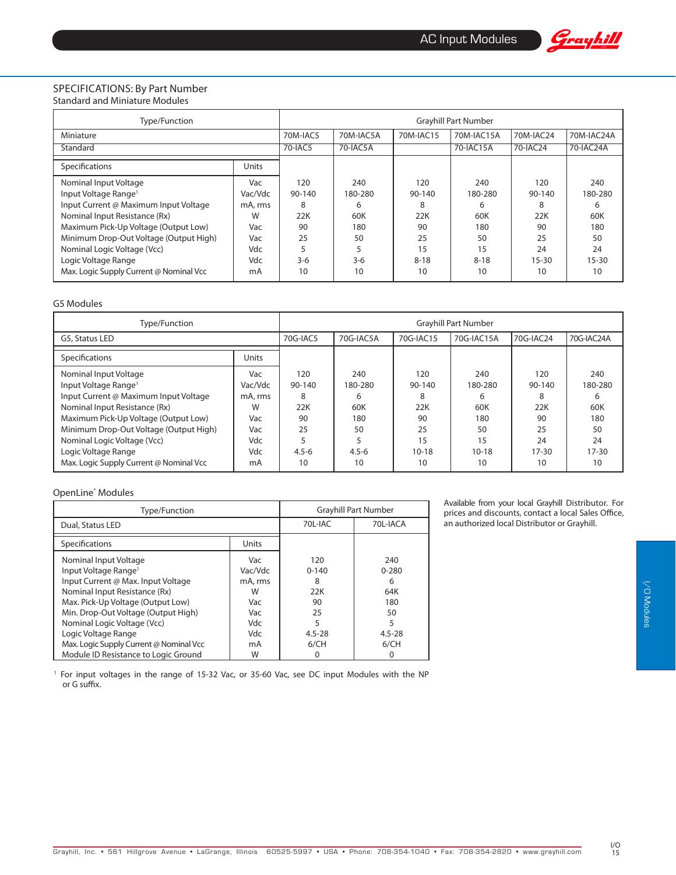

### SPECIFICATIONS: By Part Number Standard and Miniature Modules

| Type/Function                                                                                      | <b>Grayhill Part Number</b> |                    |                     |                        |                     |                    |                     |
|----------------------------------------------------------------------------------------------------|-----------------------------|--------------------|---------------------|------------------------|---------------------|--------------------|---------------------|
| Miniature                                                                                          |                             | 70M-IAC5           | 70M-IAC5A           | 70M-IAC15              | 70M-IAC15A          | 70M-IAC24          | 70M-IAC24A          |
| Standard                                                                                           |                             | 70-IAC5            | 70-IAC5A            |                        | 70-IAC15A           | 70-IAC24           | 70-IAC24A           |
| Specifications                                                                                     | Units                       |                    |                     |                        |                     |                    |                     |
| Nominal Input Voltage<br>Input Voltage Range <sup>1</sup><br>Input Current @ Maximum Input Voltage | Vac<br>Vac/Vdc<br>mA, rms   | 120<br>90-140<br>8 | 240<br>180-280<br>6 | 120<br>$90 - 140$<br>8 | 240<br>180-280<br>6 | 120<br>90-140<br>8 | 240<br>180-280<br>6 |
| Nominal Input Resistance (Rx)                                                                      | W                           | 22K                | 60K                 | 22K                    | 60K                 | 22K                | 60K                 |
| Maximum Pick-Up Voltage (Output Low)                                                               | Vac                         | 90                 | 180                 | 90                     | 180                 | 90                 | 180                 |
| Minimum Drop-Out Voltage (Output High)                                                             | Vac                         | 25                 | 50                  | 25                     | 50                  | 25                 | 50                  |
| Nominal Logic Voltage (Vcc)                                                                        | Vdc                         |                    |                     | 15                     | 15                  | 24                 | 24                  |
| Logic Voltage Range                                                                                | Vdc                         | $3-6$              | $3-6$               | $8 - 18$               | $8 - 18$            | $15 - 30$          | $15 - 30$           |
| Max. Logic Supply Current @ Nominal Vcc                                                            | mA                          | 10                 | 10                  | 10                     | 10                  | 10                 | 10                  |

#### G5 Modules

| Type/Function                                                                                                                                                                                                                                                                                                          | <b>Gravhill Part Number</b>                                      |                                                          |                                                            |                                                                |                                                                  |                                                                    |                                                                  |
|------------------------------------------------------------------------------------------------------------------------------------------------------------------------------------------------------------------------------------------------------------------------------------------------------------------------|------------------------------------------------------------------|----------------------------------------------------------|------------------------------------------------------------|----------------------------------------------------------------|------------------------------------------------------------------|--------------------------------------------------------------------|------------------------------------------------------------------|
| G5, Status LED                                                                                                                                                                                                                                                                                                         |                                                                  | 70G-IAC5                                                 | 70G-IAC5A                                                  | 70G-IAC15                                                      | 70G-IAC15A                                                       | 70G-IAC24                                                          | 70G-IAC24A                                                       |
| Specifications                                                                                                                                                                                                                                                                                                         | <b>Units</b>                                                     |                                                          |                                                            |                                                                |                                                                  |                                                                    |                                                                  |
| Nominal Input Voltage<br>Input Voltage Range <sup>1</sup><br>Input Current @ Maximum Input Voltage<br>Nominal Input Resistance (Rx)<br>Maximum Pick-Up Voltage (Output Low)<br>Minimum Drop-Out Voltage (Output High)<br>Nominal Logic Voltage (Vcc)<br>Logic Voltage Range<br>Max. Logic Supply Current @ Nominal Vcc | Vac<br>Vac/Vdc<br>mA, rms<br>W<br>Vac<br>Vac<br>Vdc<br>Vdc<br>mA | 120<br>90-140<br>8<br>22K<br>90<br>25<br>$4.5 - 6$<br>10 | 240<br>180-280<br>6<br>60K<br>180<br>50<br>$4.5 - 6$<br>10 | 120<br>90-140<br>8<br>22K<br>90<br>25<br>15<br>$10 - 18$<br>10 | 240<br>180-280<br>6<br>60K<br>180<br>50<br>15<br>$10 - 18$<br>10 | 120<br>$90 - 140$<br>8<br>22K<br>90<br>25<br>24<br>$17 - 30$<br>10 | 240<br>180-280<br>6<br>60K<br>180<br>50<br>24<br>$17 - 30$<br>10 |

### OpenLine® Modules

| Type/Function                                                                                                                                                                                                                                                      | <b>Grayhill Part Number</b>                                |                                                             |                                                              |  |
|--------------------------------------------------------------------------------------------------------------------------------------------------------------------------------------------------------------------------------------------------------------------|------------------------------------------------------------|-------------------------------------------------------------|--------------------------------------------------------------|--|
| Dual, Status LED                                                                                                                                                                                                                                                   | 70L-IAC                                                    | 70L-IACA                                                    |                                                              |  |
| Specifications                                                                                                                                                                                                                                                     | Units                                                      |                                                             |                                                              |  |
| Nominal Input Voltage<br>Input Voltage Range <sup>1</sup><br>Input Current @ Max. Input Voltage<br>Nominal Input Resistance (Rx)<br>Max. Pick-Up Voltage (Output Low)<br>Min. Drop-Out Voltage (Output High)<br>Nominal Logic Voltage (Vcc)<br>Logic Voltage Range | Vac<br>Vac/Vdc<br>mA, rms<br>W<br>Vac<br>Vac<br>Vdc<br>Vdc | 120<br>$0 - 140$<br>8<br>22K<br>90<br>25<br>5<br>$4.5 - 28$ | 240<br>$0 - 280$<br>6<br>64K<br>180<br>50<br>5<br>$4.5 - 28$ |  |
| Max. Logic Supply Current @ Nominal Vcc<br>Module ID Resistance to Logic Ground                                                                                                                                                                                    | mA<br>W                                                    | 6/CH<br>0                                                   | 6/CH<br>0                                                    |  |

<sup>1</sup> For input voltages in the range of 15-32 Vac, or 35-60 Vac, see DC input Modules with the NP or G suffix.

Available from your local Grayhill Distributor. For prices and discounts, contact a local Sales Office, an authorized local Distributor or Grayhill.